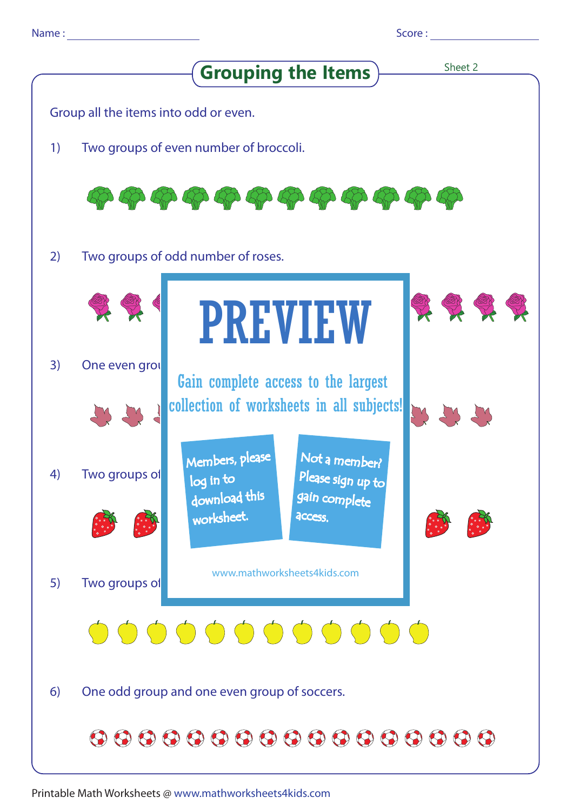